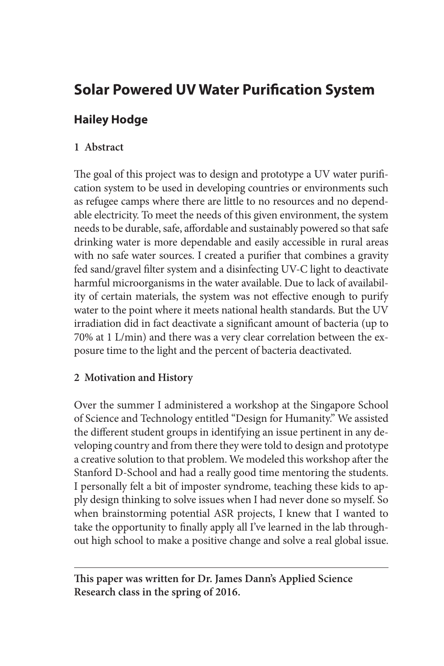# **Solar Powered UV Water Purification System**

## **Hailey Hodge**

### **1 Abstract**

The goal of this project was to design and prototype a UV water purification system to be used in developing countries or environments such as refugee camps where there are little to no resources and no dependable electricity. To meet the needs of this given environment, the system needs to be durable, safe, affordable and sustainably powered so that safe drinking water is more dependable and easily accessible in rural areas with no safe water sources. I created a purifier that combines a gravity fed sand/gravel filter system and a disinfecting UV-C light to deactivate harmful microorganisms in the water available. Due to lack of availability of certain materials, the system was not effective enough to purify water to the point where it meets national health standards. But the UV irradiation did in fact deactivate a significant amount of bacteria (up to 70% at 1 L/min) and there was a very clear correlation between the exposure time to the light and the percent of bacteria deactivated.

### **2 Motivation and History**

Over the summer I administered a workshop at the Singapore School of Science and Technology entitled "Design for Humanity." We assisted the different student groups in identifying an issue pertinent in any developing country and from there they were told to design and prototype a creative solution to that problem. We modeled this workshop after the Stanford D-School and had a really good time mentoring the students. I personally felt a bit of imposter syndrome, teaching these kids to apply design thinking to solve issues when I had never done so myself. So when brainstorming potential ASR projects, I knew that I wanted to take the opportunity to finally apply all I've learned in the lab throughout high school to make a positive change and solve a real global issue.

**This paper was written for Dr. James Dann's Applied Science Research class in the spring of 2016.**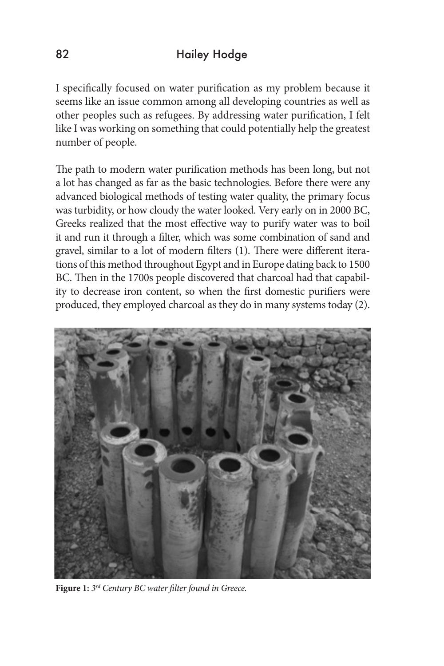I specifically focused on water purification as my problem because it seems like an issue common among all developing countries as well as other peoples such as refugees. By addressing water purification, I felt like I was working on something that could potentially help the greatest number of people.

The path to modern water purification methods has been long, but not a lot has changed as far as the basic technologies. Before there were any advanced biological methods of testing water quality, the primary focus was turbidity, or how cloudy the water looked. Very early on in 2000 BC, Greeks realized that the most effective way to purify water was to boil it and run it through a filter, which was some combination of sand and gravel, similar to a lot of modern filters (1). There were different iterations of this method throughout Egypt and in Europe dating back to 1500 BC. Then in the 1700s people discovered that charcoal had that capability to decrease iron content, so when the first domestic purifiers were produced, they employed charcoal as they do in many systems today (2).



**Figure 1:** *3rd Century BC water filter found in Greece.*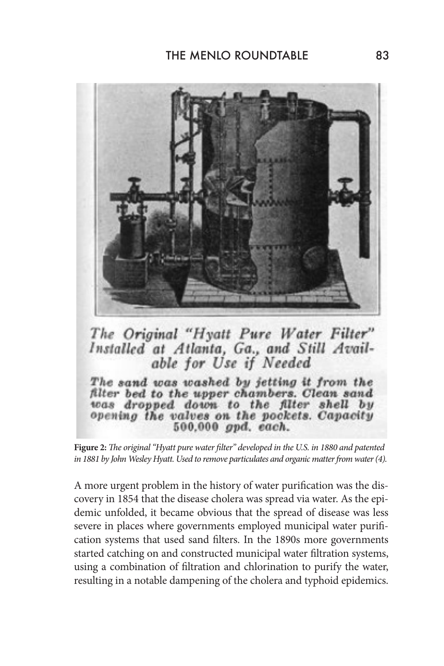

The Original "Hyatt Pure Water Filter" Installed at Atlanta, Ga., and Still Avail-<br>able for Use if Needed

The sand was washed by jetting it from the filter bed to the upper chambers. Clean sand was dropped down to the filter shell by opening the valves on the pockets. Capacity 500.000 gpd. each.

**Figure 2:** *The original "Hyatt pure water filter" developed in the U.S. in 1880 and patented in 1881 by John Wesley Hyatt. Used to remove particulates and organic matter from water (4).*

A more urgent problem in the history of water purification was the discovery in 1854 that the disease cholera was spread via water. As the epidemic unfolded, it became obvious that the spread of disease was less severe in places where governments employed municipal water purification systems that used sand filters. In the 1890s more governments started catching on and constructed municipal water filtration systems, using a combination of filtration and chlorination to purify the water, resulting in a notable dampening of the cholera and typhoid epidemics.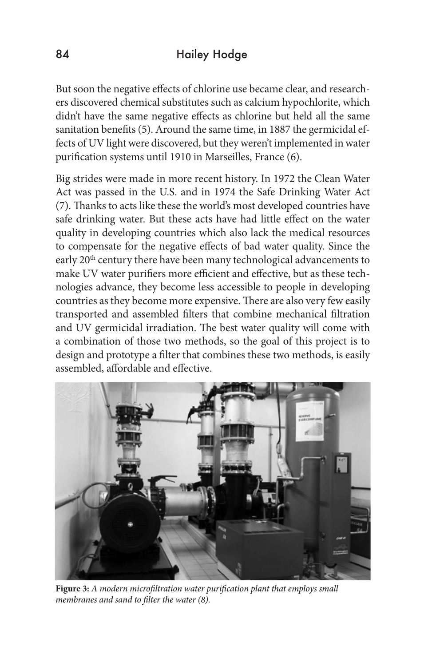But soon the negative effects of chlorine use became clear, and researchers discovered chemical substitutes such as calcium hypochlorite, which didn't have the same negative effects as chlorine but held all the same sanitation benefits (5). Around the same time, in 1887 the germicidal effects of UV light were discovered, but they weren't implemented in water purification systems until 1910 in Marseilles, France (6).

Big strides were made in more recent history. In 1972 the Clean Water Act was passed in the U.S. and in 1974 the Safe Drinking Water Act (7). Thanks to acts like these the world's most developed countries have safe drinking water. But these acts have had little effect on the water quality in developing countries which also lack the medical resources to compensate for the negative effects of bad water quality. Since the early 20<sup>th</sup> century there have been many technological advancements to make UV water purifiers more efficient and effective, but as these technologies advance, they become less accessible to people in developing countries as they become more expensive. There are also very few easily transported and assembled filters that combine mechanical filtration and UV germicidal irradiation. The best water quality will come with a combination of those two methods, so the goal of this project is to design and prototype a filter that combines these two methods, is easily assembled, affordable and effective.



**Figure 3:** *A modern microfiltration water purification plant that employs small membranes and sand to filter the water (8).*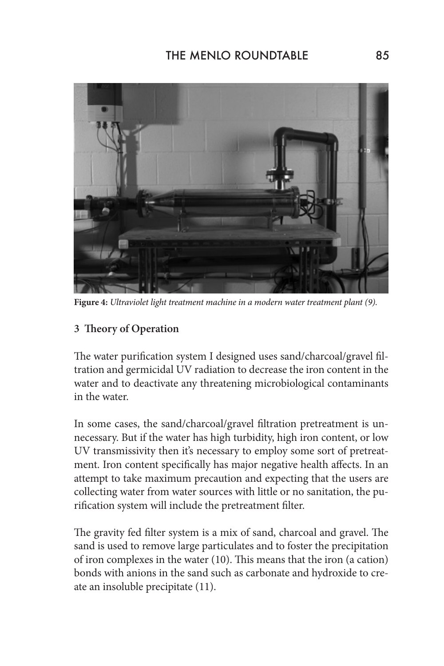

**Figure 4:** *Ultraviolet light treatment machine in a modern water treatment plant (9).* 

### **3 Theory of Operation**

The water purification system I designed uses sand/charcoal/gravel filtration and germicidal UV radiation to decrease the iron content in the water and to deactivate any threatening microbiological contaminants in the water.

In some cases, the sand/charcoal/gravel filtration pretreatment is unnecessary. But if the water has high turbidity, high iron content, or low UV transmissivity then it's necessary to employ some sort of pretreatment. Iron content specifically has major negative health affects. In an attempt to take maximum precaution and expecting that the users are collecting water from water sources with little or no sanitation, the purification system will include the pretreatment filter.

The gravity fed filter system is a mix of sand, charcoal and gravel. The sand is used to remove large particulates and to foster the precipitation of iron complexes in the water (10). This means that the iron (a cation) bonds with anions in the sand such as carbonate and hydroxide to create an insoluble precipitate (11).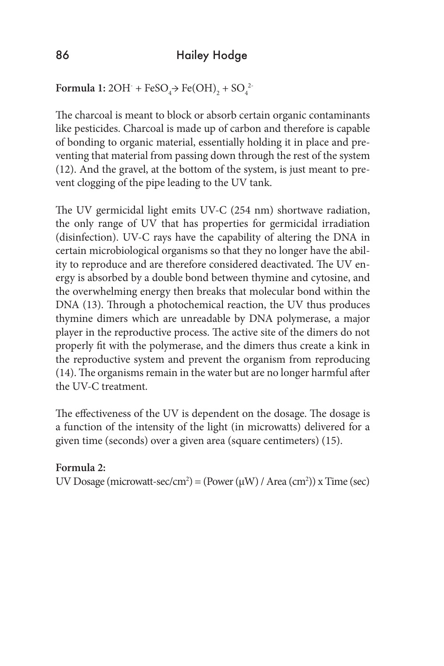Formula 1:  $2OH^- + FeSO_4$   $\rightarrow$  Fe(OH)<sub>2</sub> + SO<sub>4</sub><sup>2</sup>

The charcoal is meant to block or absorb certain organic contaminants like pesticides. Charcoal is made up of carbon and therefore is capable of bonding to organic material, essentially holding it in place and preventing that material from passing down through the rest of the system (12). And the gravel, at the bottom of the system, is just meant to prevent clogging of the pipe leading to the UV tank.

The UV germicidal light emits UV-C (254 nm) shortwave radiation, the only range of UV that has properties for germicidal irradiation (disinfection). UV-C rays have the capability of altering the DNA in certain microbiological organisms so that they no longer have the ability to reproduce and are therefore considered deactivated. The UV energy is absorbed by a double bond between thymine and cytosine, and the overwhelming energy then breaks that molecular bond within the DNA (13). Through a photochemical reaction, the UV thus produces thymine dimers which are unreadable by DNA polymerase, a major player in the reproductive process. The active site of the dimers do not properly fit with the polymerase, and the dimers thus create a kink in the reproductive system and prevent the organism from reproducing (14). The organisms remain in the water but are no longer harmful after the UV-C treatment.

The effectiveness of the UV is dependent on the dosage. The dosage is a function of the intensity of the light (in microwatts) delivered for a given time (seconds) over a given area (square centimeters) (15).

### **Formula 2:**

UV Dosage (microwatt-sec/cm<sup>2</sup>) = (Power ( $\mu$ W) / Area (cm<sup>2</sup>)) x Time (sec)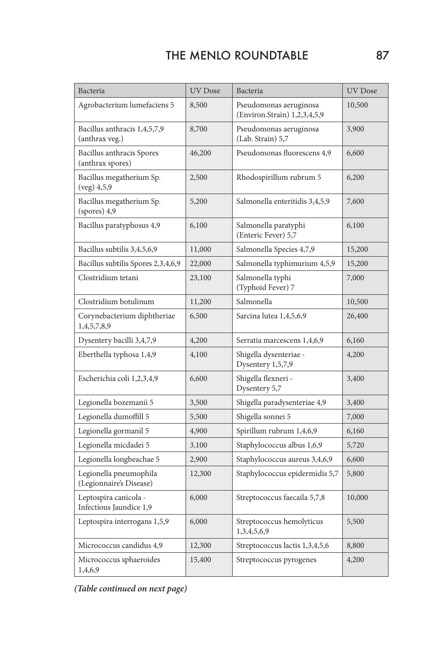| Bacteria                                          | <b>UV</b> Dose | Bacteria                                               | <b>UV</b> Dose |
|---------------------------------------------------|----------------|--------------------------------------------------------|----------------|
| Agrobacterium lumefaciens 5                       | 8,500          | Pseudomonas aeruginosa<br>(Environ.Strain) 1,2,3,4,5,9 | 10,500         |
| Bacillus anthracis 1,4,5,7,9<br>(anthrax veg.)    | 8,700          | Pseudomonas aeruginosa<br>(Lab. Strain) 5,7            | 3,900          |
| Bacillus anthracis Spores<br>(anthrax spores)     | 46,200         | Pseudomonas fluorescens 4,9                            | 6,600          |
| Bacillus megatherium Sp.<br>(veg) 4, 5, 9         | 2,500          | Rhodospirillum rubrum 5                                | 6,200          |
| Bacillus megatherium Sp.<br>$(sports)$ 4,9        | 5,200          | Salmonella enteritidis 3,4,5,9                         | 7,600          |
| Bacillus paratyphosus 4,9                         | 6,100          | Salmonella paratyphi<br>(Enteric Fever) 5,7            | 6,100          |
| Bacillus subtilis 3,4,5,6,9                       | 11,000         | Salmonella Species 4,7,9                               | 15,200         |
| Bacillus subtilis Spores 2,3,4,6,9                | 22,000         | Salmonella typhimurium 4,5,9                           | 15,200         |
| Clostridium tetani                                | 23,100         | Salmonella typhi<br>(Typhoid Fever) 7                  | 7,000          |
| Clostridium botulinum                             | 11,200         | Salmonella                                             | 10,500         |
| Corynebacterium diphtheriae<br>1,4,5,7,8,9        | 6,500          | Sarcina lutea 1,4,5,6,9                                | 26,400         |
| Dysentery bacilli 3,4,7,9                         | 4,200          | Serratia marcescens 1,4,6,9                            | 6,160          |
| Eberthella typhosa 1,4,9                          | 4,100          | Shigella dysenteriae -<br>Dysentery 1,5,7,9            | 4,200          |
| Escherichia coli 1,2,3,4,9                        | 6,600          | Shigella flexneri -<br>Dysentery 5,7                   | 3,400          |
| Legionella bozemanii 5                            | 3,500          | Shigella paradysenteriae 4,9                           | 3,400          |
| Legionella dumoffill 5                            | 5,500          | Shigella sonnei 5                                      | 7,000          |
| Legionella gormanil 5                             | 4,900          | Spirillum rubrum 1,4,6,9                               | 6,160          |
| Legionella micdadei 5                             | 3,100          | Staphylococcus albus 1,6,9                             | 5,720          |
| Legionella longbeachae 5                          | 2,900          | Staphylococcus aureus 3,4,6,9                          | 6,600          |
| Legionella pneumophila<br>(Legionnaire's Disease) | 12,300         | Staphylococcus epidermidis 5,7                         | 5,800          |
| Leptospira canicola -<br>Infectious Jaundice 1,9  | 6,000          | Streptococcus faecaila 5,7,8<br>10,000                 |                |
| Leptospira interrogans 1,5,9                      | 6,000          | Streptococcus hemolyticus<br>5,500<br>1,3,4,5,6,9      |                |
| Micrococcus candidus 4,9                          | 12,300         | Streptococcus lactis 1,3,4,5,6                         | 8,800          |
| Micrococcus sphaeroides<br>1,4,6,9                | 15,400         | 4,200<br>Streptococcus pyrogenes                       |                |

*(Table continued on next page)*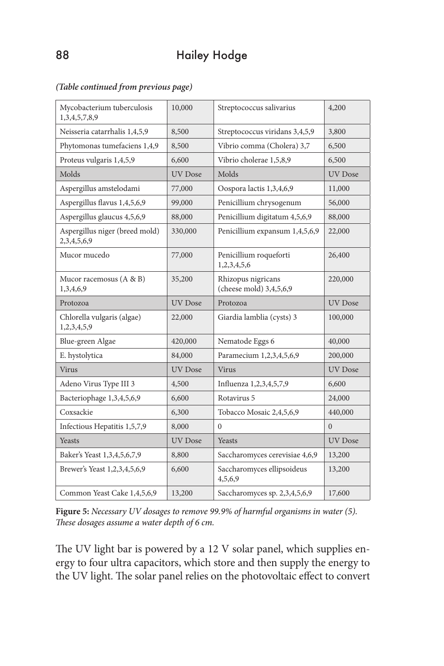#### *(Table continued from previous page)*

| Mycobacterium tuberculosis<br>1,3,4,5,7,8,9   | 10,000         | Streptococcus salivarius                        | 4,200          |
|-----------------------------------------------|----------------|-------------------------------------------------|----------------|
| Neisseria catarrhalis 1,4,5,9                 | 8,500          | Streptococcus viridans 3,4,5,9                  | 3,800          |
| Phytomonas tumefaciens 1,4,9                  | 8,500          | Vibrio comma (Cholera) 3,7                      | 6,500          |
| Proteus vulgaris 1,4,5,9                      | 6,600          | Vibrio cholerae 1,5,8,9                         | 6,500          |
| Molds                                         | <b>UV</b> Dose | Molds                                           | <b>UV</b> Dose |
| Aspergillus amstelodami                       | 77,000         | Oospora lactis 1,3,4,6,9<br>11,000              |                |
| Aspergillus flavus 1,4,5,6,9                  | 99,000         | Penicillium chrysogenum                         | 56,000         |
| Aspergillus glaucus 4,5,6,9                   | 88,000         | Penicillium digitatum 4,5,6,9                   | 88,000         |
| Aspergillus niger (breed mold)<br>2,3,4,5,6,9 | 330,000        | Penicillium expansum 1,4,5,6,9                  | 22,000         |
| Mucor mucedo                                  | 77,000         | Penicillium roqueforti<br>1,2,3,4,5,6           | 26,400         |
| Mucor racemosus (A & B)<br>1,3,4,6,9          | 35,200         | Rhizopus nigricans<br>(cheese mold) 3,4,5,6,9   | 220,000        |
| Protozoa                                      | <b>UV</b> Dose | Protozoa                                        | UV Dose        |
| Chlorella vulgaris (algae)<br>1,2,3,4,5,9     | 22,000         | Giardia lamblia (cysts) 3                       | 100,000        |
| Blue-green Algae                              | 420,000        | Nematode Eggs 6                                 | 40,000         |
| E. hystolytica                                | 84,000         | Paramecium 1,2,3,4,5,6,9                        | 200,000        |
| Virus                                         | <b>UV</b> Dose | Virus                                           | <b>UV</b> Dose |
| Adeno Virus Type III 3                        | 4,500          | Influenza 1,2,3,4,5,7,9                         | 6,600          |
| Bacteriophage 1,3,4,5,6,9                     | 6,600          | Rotavirus 5                                     | 24,000         |
| Coxsackie                                     | 6,300          | Tobacco Mosaic 2,4,5,6,9                        | 440,000        |
| Infectious Hepatitis 1,5,7,9                  | 8,000          | $\Omega$<br>$\Omega$                            |                |
| <b>Yeasts</b>                                 | <b>UV</b> Dose | Yeasts                                          | UV Dose        |
| Baker's Yeast 1,3,4,5,6,7,9                   | 8,800          | Saccharomyces cerevisiae 4,6,9<br>13,200        |                |
| Brewer's Yeast 1,2,3,4,5,6,9                  | 6,600          | Saccharomyces ellipsoideus<br>13,200<br>4,5,6,9 |                |
| Common Yeast Cake 1,4,5,6,9                   | 13,200         | Saccharomyces sp. 2,3,4,5,6,9<br>17,600         |                |

**Figure 5:** *Necessary UV dosages to remove 99.9% of harmful organisms in water (5). These dosages assume a water depth of 6 cm.* 

The UV light bar is powered by a 12 V solar panel, which supplies energy to four ultra capacitors, which store and then supply the energy to the UV light. The solar panel relies on the photovoltaic effect to convert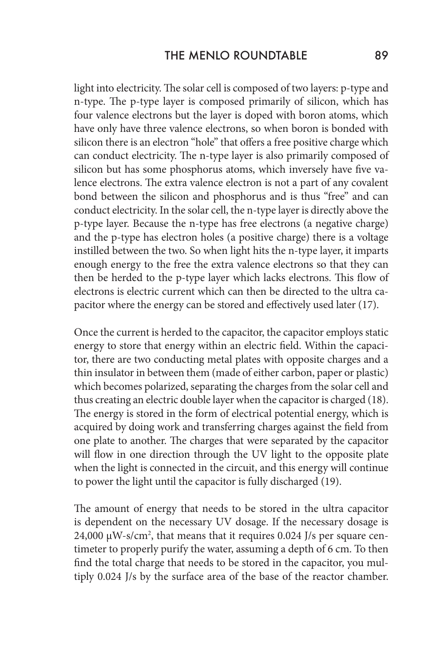light into electricity. The solar cell is composed of two layers: p-type and n-type. The p-type layer is composed primarily of silicon, which has four valence electrons but the layer is doped with boron atoms, which have only have three valence electrons, so when boron is bonded with silicon there is an electron "hole" that offers a free positive charge which can conduct electricity. The n-type layer is also primarily composed of silicon but has some phosphorus atoms, which inversely have five valence electrons. The extra valence electron is not a part of any covalent bond between the silicon and phosphorus and is thus "free" and can conduct electricity. In the solar cell, the n-type layer is directly above the p-type layer. Because the n-type has free electrons (a negative charge) and the p-type has electron holes (a positive charge) there is a voltage instilled between the two. So when light hits the n-type layer, it imparts enough energy to the free the extra valence electrons so that they can then be herded to the p-type layer which lacks electrons. This flow of electrons is electric current which can then be directed to the ultra capacitor where the energy can be stored and effectively used later (17).

Once the current is herded to the capacitor, the capacitor employs static energy to store that energy within an electric field. Within the capacitor, there are two conducting metal plates with opposite charges and a thin insulator in between them (made of either carbon, paper or plastic) which becomes polarized, separating the charges from the solar cell and thus creating an electric double layer when the capacitor is charged (18). The energy is stored in the form of electrical potential energy, which is acquired by doing work and transferring charges against the field from one plate to another. The charges that were separated by the capacitor will flow in one direction through the UV light to the opposite plate when the light is connected in the circuit, and this energy will continue to power the light until the capacitor is fully discharged (19).

The amount of energy that needs to be stored in the ultra capacitor is dependent on the necessary UV dosage. If the necessary dosage is 24,000  $\mu$ W-s/cm<sup>2</sup>, that means that it requires 0.024 J/s per square centimeter to properly purify the water, assuming a depth of 6 cm. To then find the total charge that needs to be stored in the capacitor, you multiply 0.024 J/s by the surface area of the base of the reactor chamber.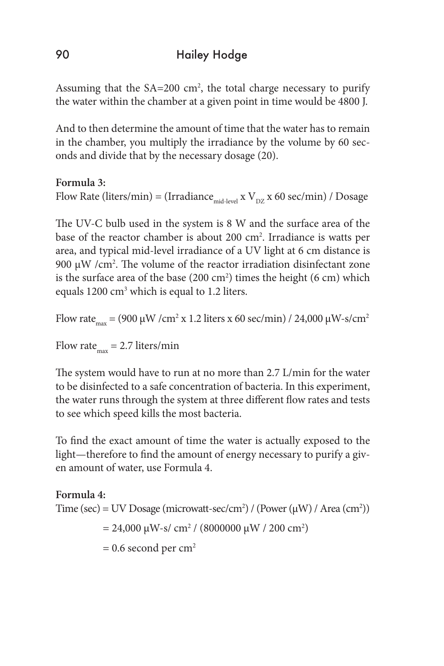# 90 Hailey Hodge

Assuming that the  $SA=200$  cm<sup>2</sup>, the total charge necessary to purify the water within the chamber at a given point in time would be 4800 J.

And to then determine the amount of time that the water has to remain in the chamber, you multiply the irradiance by the volume by 60 seconds and divide that by the necessary dosage (20).

### **Formula 3:**

Flow Rate (liters/min) = (Irradiance  $_{mid-level} x V_{pz} x 60$  sec/min) / Dosage

The UV-C bulb used in the system is 8 W and the surface area of the base of the reactor chamber is about 200 cm<sup>2</sup>. Irradiance is watts per area, and typical mid-level irradiance of a UV light at 6 cm distance is 900  $\mu$ W /cm<sup>2</sup>. The volume of the reactor irradiation disinfectant zone is the surface area of the base  $(200 \text{ cm}^2)$  times the height  $(6 \text{ cm})$  which equals 1200 cm<sup>3</sup> which is equal to 1.2 liters.

Flow rate<sub>max</sub> = (900 µW / cm<sup>2</sup> x 1.2 liters x 60 sec/min) / 24,000 µW-s/cm<sup>2</sup>

Flow rate $_{\text{max}}$  = 2.7 liters/min

The system would have to run at no more than 2.7 L/min for the water to be disinfected to a safe concentration of bacteria. In this experiment, the water runs through the system at three different flow rates and tests to see which speed kills the most bacteria.

To find the exact amount of time the water is actually exposed to the light—therefore to find the amount of energy necessary to purify a given amount of water, use Formula 4.

**Formula 4:** Time (sec) = UV Dosage (microwatt-sec/cm<sup>2</sup>) / (Power ( $\mu$ W) / Area (cm<sup>2</sup>)) = 24,000 μW-s/ cm<sup>2</sup> / (8000000 μW / 200 cm<sup>2</sup>)  $= 0.6$  second per cm<sup>2</sup>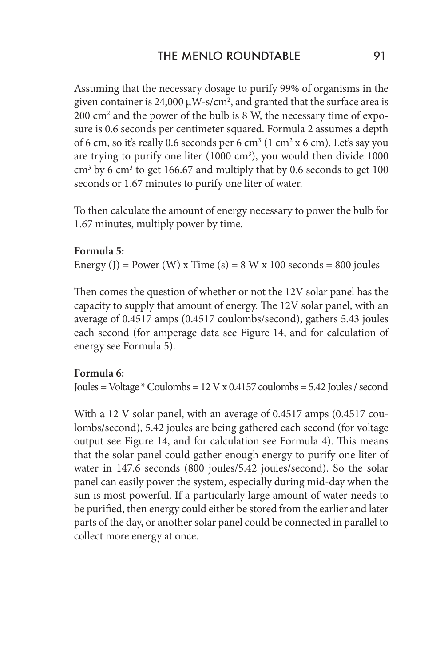Assuming that the necessary dosage to purify 99% of organisms in the given container is 24,000  $\mu$ W-s/cm<sup>2</sup>, and granted that the surface area is  $200 \text{ cm}^2$  and the power of the bulb is 8 W, the necessary time of exposure is 0.6 seconds per centimeter squared. Formula 2 assumes a depth of 6 cm, so it's really 0.6 seconds per 6 cm $3$  (1 cm $2$  x 6 cm). Let's say you are trying to purify one liter  $(1000 \text{ cm}^3)$ , you would then divide  $1000$  $\text{cm}^3$  by 6 cm<sup>3</sup> to get 166.67 and multiply that by 0.6 seconds to get 100 seconds or 1.67 minutes to purify one liter of water.

To then calculate the amount of energy necessary to power the bulb for 1.67 minutes, multiply power by time.

### **Formula 5:**

Energy (J) = Power (W) x Time (s) =  $8$  W x 100 seconds =  $800$  joules

Then comes the question of whether or not the 12V solar panel has the capacity to supply that amount of energy. The 12V solar panel, with an average of 0.4517 amps (0.4517 coulombs/second), gathers 5.43 joules each second (for amperage data see Figure 14, and for calculation of energy see Formula 5).

### **Formula 6:**

Joules = Voltage  $*$  Coulombs = 12 V x 0.4157 coulombs = 5.42 Joules / second

With a 12 V solar panel, with an average of 0.4517 amps (0.4517 coulombs/second), 5.42 joules are being gathered each second (for voltage output see Figure 14, and for calculation see Formula 4). This means that the solar panel could gather enough energy to purify one liter of water in 147.6 seconds (800 joules/5.42 joules/second). So the solar panel can easily power the system, especially during mid-day when the sun is most powerful. If a particularly large amount of water needs to be purified, then energy could either be stored from the earlier and later parts of the day, or another solar panel could be connected in parallel to collect more energy at once.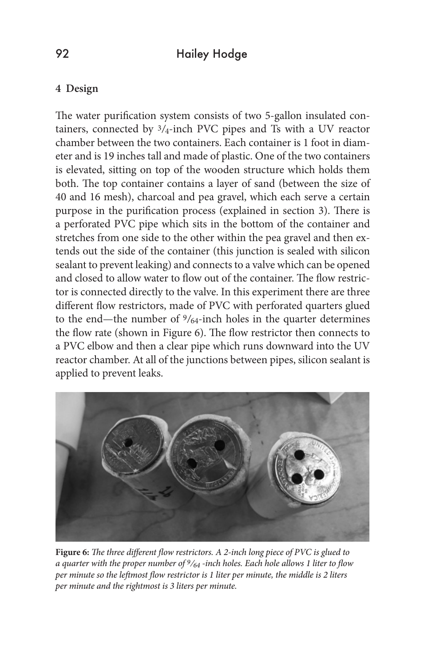### **4 Design**

The water purification system consists of two 5-gallon insulated containers, connected by  $3/4$ -inch PVC pipes and Ts with a UV reactor chamber between the two containers. Each container is 1 foot in diameter and is 19 inches tall and made of plastic. One of the two containers is elevated, sitting on top of the wooden structure which holds them both. The top container contains a layer of sand (between the size of 40 and 16 mesh), charcoal and pea gravel, which each serve a certain purpose in the purification process (explained in section 3). There is a perforated PVC pipe which sits in the bottom of the container and stretches from one side to the other within the pea gravel and then extends out the side of the container (this junction is sealed with silicon sealant to prevent leaking) and connects to a valve which can be opened and closed to allow water to flow out of the container. The flow restrictor is connected directly to the valve. In this experiment there are three different flow restrictors, made of PVC with perforated quarters glued to the end—the number of 9/64-inch holes in the quarter determines the flow rate (shown in Figure 6). The flow restrictor then connects to a PVC elbow and then a clear pipe which runs downward into the UV reactor chamber. At all of the junctions between pipes, silicon sealant is applied to prevent leaks.



**Figure 6:** *The three different flow restrictors. A 2-inch long piece of PVC is glued to a quarter with the proper number of 9/64 -inch holes. Each hole allows 1 liter to flow per minute so the leftmost flow restrictor is 1 liter per minute, the middle is 2 liters per minute and the rightmost is 3 liters per minute.*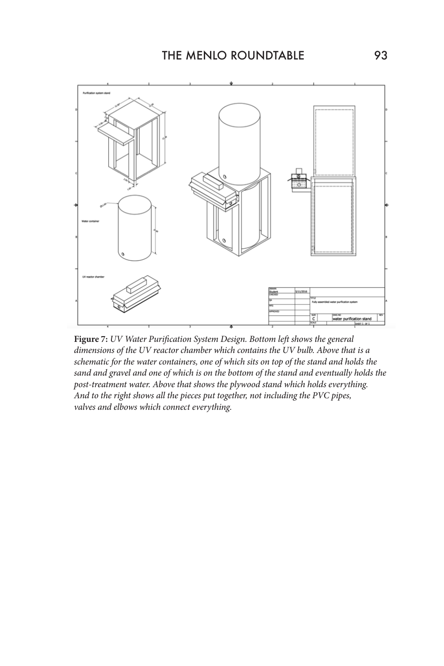

**Figure 7:** *UV Water Purification System Design. Bottom left shows the general dimensions of the UV reactor chamber which contains the UV bulb. Above that is a schematic for the water containers, one of which sits on top of the stand and holds the sand and gravel and one of which is on the bottom of the stand and eventually holds the post-treatment water. Above that shows the plywood stand which holds everything. And to the right shows all the pieces put together, not including the PVC pipes, valves and elbows which connect everything.*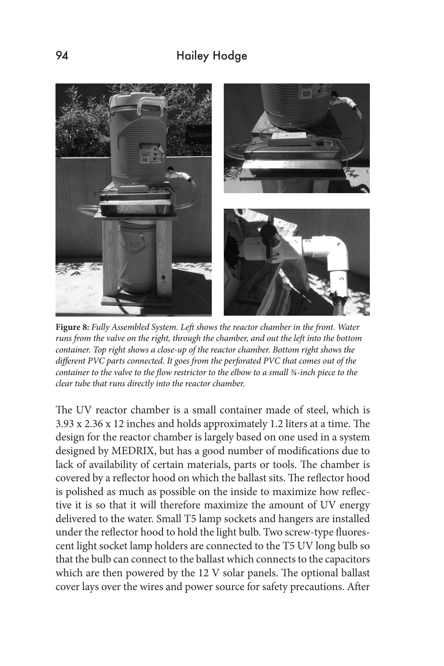# 94 Hailey Hodge



**Figure 8:** *Fully Assembled System. Left shows the reactor chamber in the front. Water runs from the valve on the right, through the chamber, and out the left into the bottom container. Top right shows a close-up of the reactor chamber. Bottom right shows the different PVC parts connected. It goes from the perforated PVC that comes out of the container to the valve to the flow restrictor to the elbow to a small ¾-inch piece to the clear tube that runs directly into the reactor chamber.* 

The UV reactor chamber is a small container made of steel, which is 3.93 x 2.36 x 12 inches and holds approximately 1.2 liters at a time. The design for the reactor chamber is largely based on one used in a system designed by MEDRIX, but has a good number of modifications due to lack of availability of certain materials, parts or tools. The chamber is covered by a reflector hood on which the ballast sits. The reflector hood is polished as much as possible on the inside to maximize how reflective it is so that it will therefore maximize the amount of UV energy delivered to the water. Small T5 lamp sockets and hangers are installed under the reflector hood to hold the light bulb. Two screw-type fluorescent light socket lamp holders are connected to the T5 UV long bulb so that the bulb can connect to the ballast which connects to the capacitors which are then powered by the 12 V solar panels. The optional ballast cover lays over the wires and power source for safety precautions. After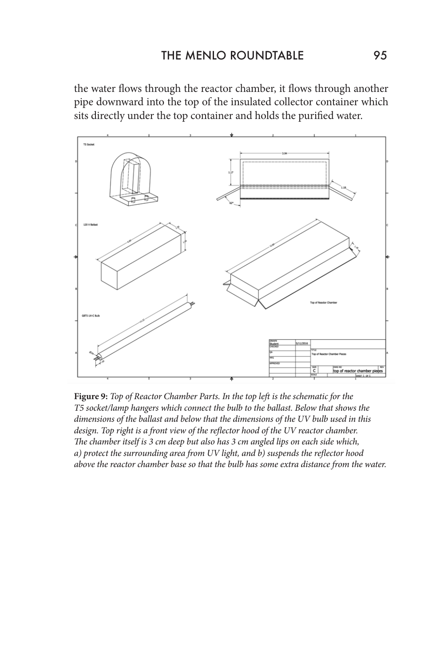the water flows through the reactor chamber, it flows through another pipe downward into the top of the insulated collector container which sits directly under the top container and holds the purified water.



**Figure 9:** *Top of Reactor Chamber Parts. In the top left is the schematic for the T5 socket/lamp hangers which connect the bulb to the ballast. Below that shows the dimensions of the ballast and below that the dimensions of the UV bulb used in this design. Top right is a front view of the reflector hood of the UV reactor chamber. The chamber itself is 3 cm deep but also has 3 cm angled lips on each side which, a) protect the surrounding area from UV light, and b) suspends the reflector hood above the reactor chamber base so that the bulb has some extra distance from the water.*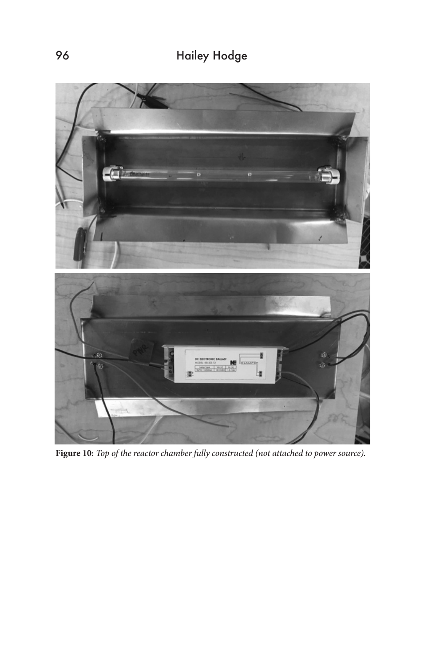# 96 Hailey Hodge



**Figure 10:** *Top of the reactor chamber fully constructed (not attached to power source).*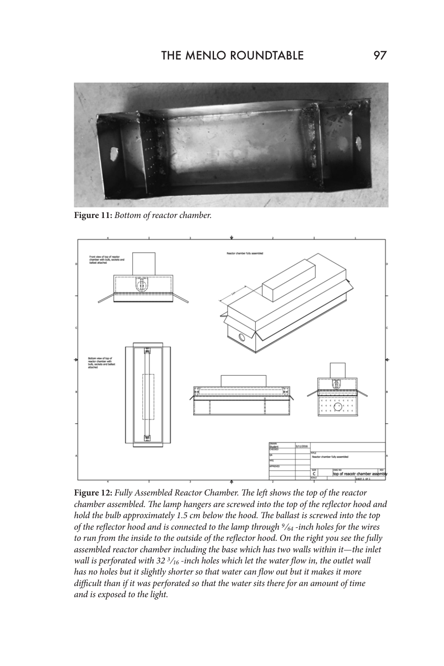

**Figure 11:** *Bottom of reactor chamber.* 



**Figure 12:** *Fully Assembled Reactor Chamber. The left shows the top of the reactor chamber assembled. The lamp hangers are screwed into the top of the reflector hood and hold the bulb approximately 1.5 cm below the hood. The ballast is screwed into the top of the reflector hood and is connected to the lamp through 9/64 -inch holes for the wires to run from the inside to the outside of the reflector hood. On the right you see the fully assembled reactor chamber including the base which has two walls within it—the inlet wall is perforated with 32 3/16 -inch holes which let the water flow in, the outlet wall has no holes but it slightly shorter so that water can flow out but it makes it more difficult than if it was perforated so that the water sits there for an amount of time and is exposed to the light.*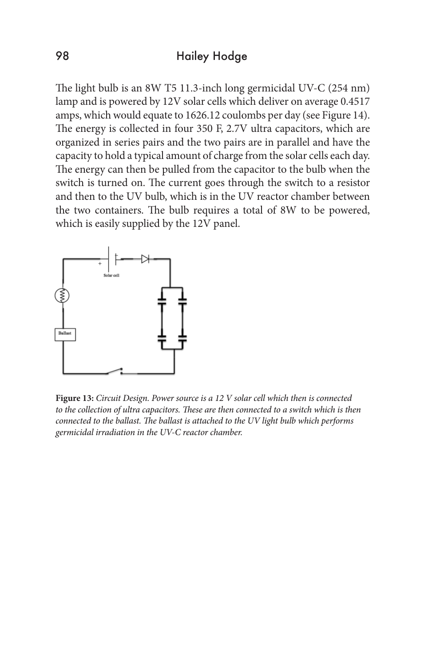The light bulb is an 8W T5 11.3-inch long germicidal UV-C (254 nm) lamp and is powered by 12V solar cells which deliver on average 0.4517 amps, which would equate to 1626.12 coulombs per day (see Figure 14). The energy is collected in four 350 F, 2.7V ultra capacitors, which are organized in series pairs and the two pairs are in parallel and have the capacity to hold a typical amount of charge from the solar cells each day. The energy can then be pulled from the capacitor to the bulb when the switch is turned on. The current goes through the switch to a resistor and then to the UV bulb, which is in the UV reactor chamber between the two containers. The bulb requires a total of 8W to be powered, which is easily supplied by the 12V panel.



**Figure 13:** *Circuit Design. Power source is a 12 V solar cell which then is connected*  to the collection of ultra capacitors. These are then connected to a switch which is then *connected to the ballast. The ballast is attached to the UV light bulb which performs germicidal irradiation in the UV-C reactor chamber.*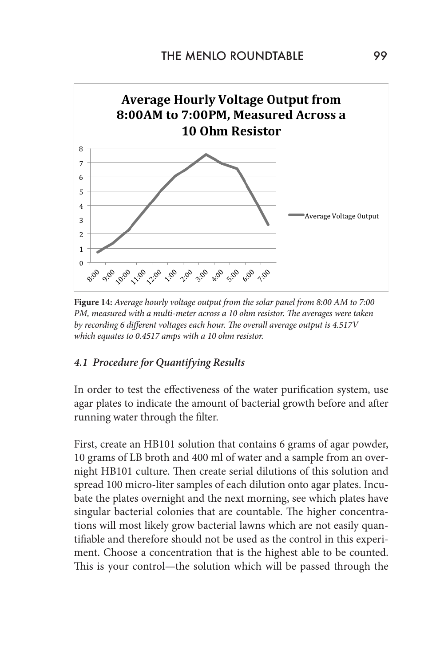

**Figure 14:** *Average hourly voltage output from the solar panel from 8:00 AM to 7:00 PM, measured with a multi-meter across a 10 ohm resistor. The averages were taken by recording 6 different voltages each hour. The overall average output is 4.517V which equates to 0.4517 amps with a 10 ohm resistor.* 

### *4.1 Procedure for Quantifying Results*

In order to test the effectiveness of the water purification system, use agar plates to indicate the amount of bacterial growth before and after running water through the filter.

First, create an HB101 solution that contains 6 grams of agar powder, 10 grams of LB broth and 400 ml of water and a sample from an overnight HB101 culture. Then create serial dilutions of this solution and spread 100 micro-liter samples of each dilution onto agar plates. Incubate the plates overnight and the next morning, see which plates have singular bacterial colonies that are countable. The higher concentrations will most likely grow bacterial lawns which are not easily quantifiable and therefore should not be used as the control in this experiment. Choose a concentration that is the highest able to be counted. This is your control—the solution which will be passed through the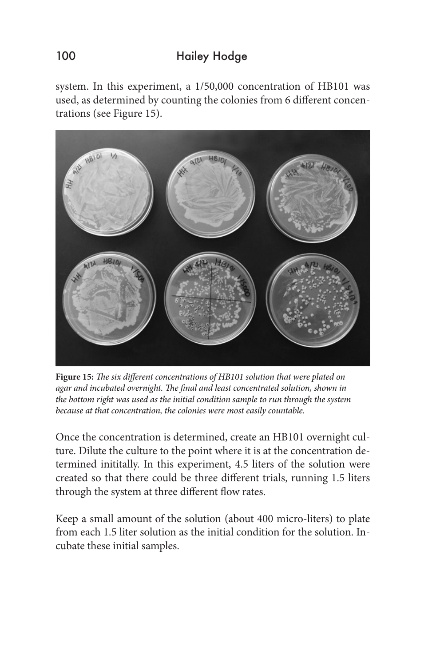system. In this experiment, a 1/50,000 concentration of HB101 was used, as determined by counting the colonies from 6 different concentrations (see Figure 15).



**Figure 15:** *The six different concentrations of HB101 solution that were plated on agar and incubated overnight. The final and least concentrated solution, shown in the bottom right was used as the initial condition sample to run through the system because at that concentration, the colonies were most easily countable.* 

Once the concentration is determined, create an HB101 overnight culture. Dilute the culture to the point where it is at the concentration determined inititally. In this experiment, 4.5 liters of the solution were created so that there could be three different trials, running 1.5 liters through the system at three different flow rates.

Keep a small amount of the solution (about 400 micro-liters) to plate from each 1.5 liter solution as the initial condition for the solution. Incubate these initial samples.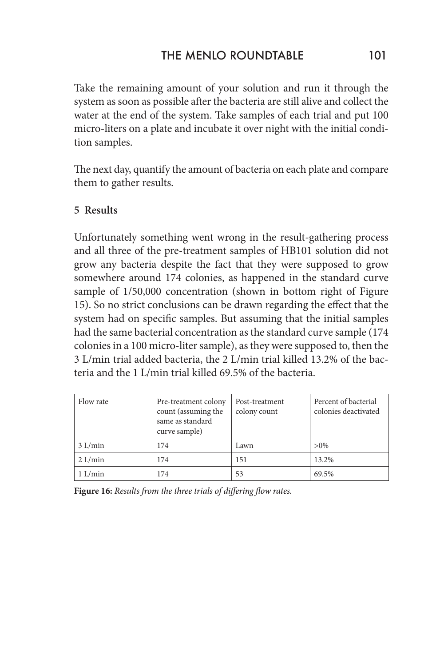Take the remaining amount of your solution and run it through the system as soon as possible after the bacteria are still alive and collect the water at the end of the system. Take samples of each trial and put 100 micro-liters on a plate and incubate it over night with the initial condition samples.

The next day, quantify the amount of bacteria on each plate and compare them to gather results.

### **5 Results**

Unfortunately something went wrong in the result-gathering process and all three of the pre-treatment samples of HB101 solution did not grow any bacteria despite the fact that they were supposed to grow somewhere around 174 colonies, as happened in the standard curve sample of 1/50,000 concentration (shown in bottom right of Figure 15). So no strict conclusions can be drawn regarding the effect that the system had on specific samples. But assuming that the initial samples had the same bacterial concentration as the standard curve sample (174 colonies in a 100 micro-liter sample), as they were supposed to, then the 3 L/min trial added bacteria, the 2 L/min trial killed 13.2% of the bacteria and the 1 L/min trial killed 69.5% of the bacteria.

| Flow rate | Pre-treatment colony<br>count (assuming the<br>same as standard<br>curve sample) | Post-treatment<br>colony count | Percent of bacterial<br>colonies deactivated |
|-----------|----------------------------------------------------------------------------------|--------------------------------|----------------------------------------------|
| 3 L/min   | 174                                                                              | Lawn                           | $>0\%$                                       |
| $2$ L/min | 174                                                                              | 151                            | 13.2%                                        |
| $1$ L/min | 174                                                                              | 53                             | 69.5%                                        |

**Figure 16:** *Results from the three trials of differing flow rates.*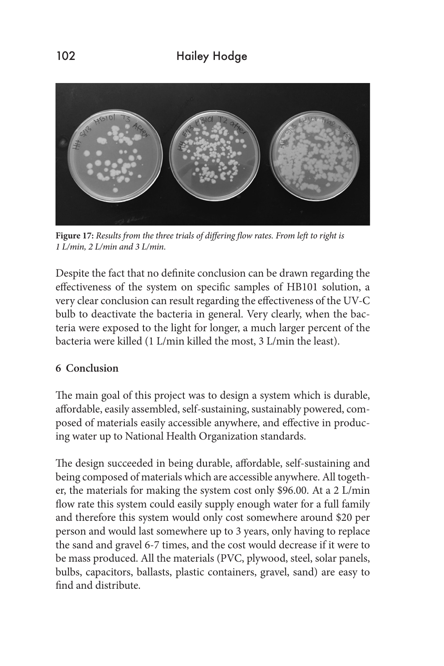

**Figure 17:** *Results from the three trials of differing flow rates. From left to right is 1 L/min, 2 L/min and 3 L/min.* 

Despite the fact that no definite conclusion can be drawn regarding the effectiveness of the system on specific samples of HB101 solution, a very clear conclusion can result regarding the effectiveness of the UV-C bulb to deactivate the bacteria in general. Very clearly, when the bacteria were exposed to the light for longer, a much larger percent of the bacteria were killed (1 L/min killed the most, 3 L/min the least).

### **6 Conclusion**

The main goal of this project was to design a system which is durable, affordable, easily assembled, self-sustaining, sustainably powered, composed of materials easily accessible anywhere, and effective in producing water up to National Health Organization standards.

The design succeeded in being durable, affordable, self-sustaining and being composed of materials which are accessible anywhere. All together, the materials for making the system cost only \$96.00. At a 2 L/min flow rate this system could easily supply enough water for a full family and therefore this system would only cost somewhere around \$20 per person and would last somewhere up to 3 years, only having to replace the sand and gravel 6-7 times, and the cost would decrease if it were to be mass produced. All the materials (PVC, plywood, steel, solar panels, bulbs, capacitors, ballasts, plastic containers, gravel, sand) are easy to find and distribute.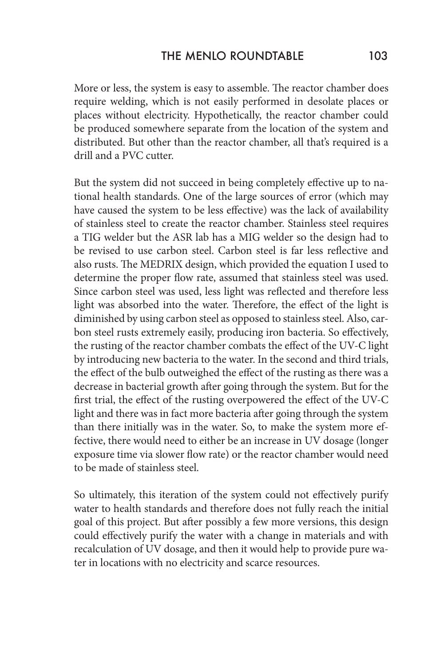More or less, the system is easy to assemble. The reactor chamber does require welding, which is not easily performed in desolate places or places without electricity. Hypothetically, the reactor chamber could be produced somewhere separate from the location of the system and distributed. But other than the reactor chamber, all that's required is a drill and a PVC cutter.

But the system did not succeed in being completely effective up to national health standards. One of the large sources of error (which may have caused the system to be less effective) was the lack of availability of stainless steel to create the reactor chamber. Stainless steel requires a TIG welder but the ASR lab has a MIG welder so the design had to be revised to use carbon steel. Carbon steel is far less reflective and also rusts. The MEDRIX design, which provided the equation I used to determine the proper flow rate, assumed that stainless steel was used. Since carbon steel was used, less light was reflected and therefore less light was absorbed into the water. Therefore, the effect of the light is diminished by using carbon steel as opposed to stainless steel. Also, carbon steel rusts extremely easily, producing iron bacteria. So effectively, the rusting of the reactor chamber combats the effect of the UV-C light by introducing new bacteria to the water. In the second and third trials, the effect of the bulb outweighed the effect of the rusting as there was a decrease in bacterial growth after going through the system. But for the first trial, the effect of the rusting overpowered the effect of the UV-C light and there was in fact more bacteria after going through the system than there initially was in the water. So, to make the system more effective, there would need to either be an increase in UV dosage (longer exposure time via slower flow rate) or the reactor chamber would need to be made of stainless steel.

So ultimately, this iteration of the system could not effectively purify water to health standards and therefore does not fully reach the initial goal of this project. But after possibly a few more versions, this design could effectively purify the water with a change in materials and with recalculation of UV dosage, and then it would help to provide pure water in locations with no electricity and scarce resources.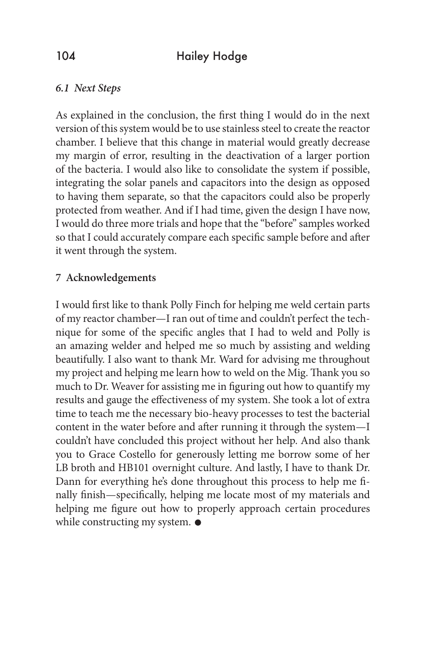### *6.1 Next Steps*

As explained in the conclusion, the first thing I would do in the next version of this system would be to use stainless steel to create the reactor chamber. I believe that this change in material would greatly decrease my margin of error, resulting in the deactivation of a larger portion of the bacteria. I would also like to consolidate the system if possible, integrating the solar panels and capacitors into the design as opposed to having them separate, so that the capacitors could also be properly protected from weather. And if I had time, given the design I have now, I would do three more trials and hope that the "before" samples worked so that I could accurately compare each specific sample before and after it went through the system.

### **7 Acknowledgements**

I would first like to thank Polly Finch for helping me weld certain parts of my reactor chamber—I ran out of time and couldn't perfect the technique for some of the specific angles that I had to weld and Polly is an amazing welder and helped me so much by assisting and welding beautifully. I also want to thank Mr. Ward for advising me throughout my project and helping me learn how to weld on the Mig. Thank you so much to Dr. Weaver for assisting me in figuring out how to quantify my results and gauge the effectiveness of my system. She took a lot of extra time to teach me the necessary bio-heavy processes to test the bacterial content in the water before and after running it through the system—I couldn't have concluded this project without her help. And also thank you to Grace Costello for generously letting me borrow some of her LB broth and HB101 overnight culture. And lastly, I have to thank Dr. Dann for everything he's done throughout this process to help me finally finish—specifically, helping me locate most of my materials and helping me figure out how to properly approach certain procedures while constructing my system.  $\bullet$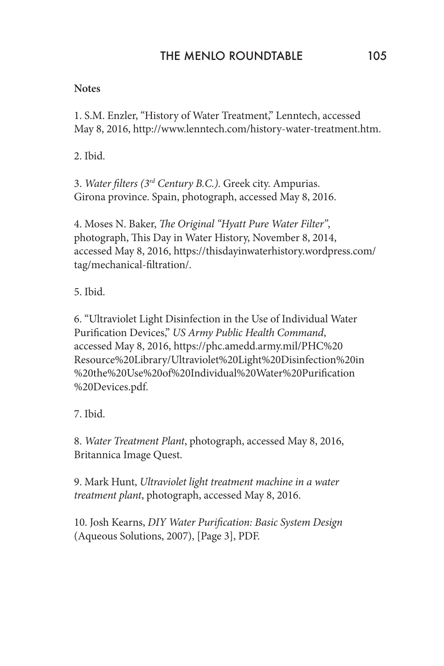### **Notes**

1. S.M. Enzler, "History of Water Treatment," Lenntech, accessed May 8, 2016, http://www.lenntech.com/history-water-treatment.htm.

2. Ibid.

3. *Water filters (3rd Century B.C.)*. Greek city. Ampurias. Girona province. Spain, photograph, accessed May 8, 2016.

4. Moses N. Baker, *The Original "Hyatt Pure Water Filter"*, photograph, This Day in Water History, November 8, 2014, accessed May 8, 2016, https://thisdayinwaterhistory.wordpress.com/ tag/mechanical-filtration/.

5. Ibid.

6. "Ultraviolet Light Disinfection in the Use of Individual Water Purification Devices," *US Army Public Health Command*, accessed May 8, 2016, https://phc.amedd.army.mil/PHC%20 Resource%20Library/Ultraviolet%20Light%20Disinfection%20in %20the%20Use%20of%20Individual%20Water%20Purification %20Devices.pdf.

7. Ibid.

8. *Water Treatment Plant*, photograph, accessed May 8, 2016, Britannica Image Quest.

9. Mark Hunt, *Ultraviolet light treatment machine in a water treatment plant*, photograph, accessed May 8, 2016.

10. Josh Kearns, *DIY Water Purification: Basic System Design* (Aqueous Solutions, 2007), [Page 3], PDF.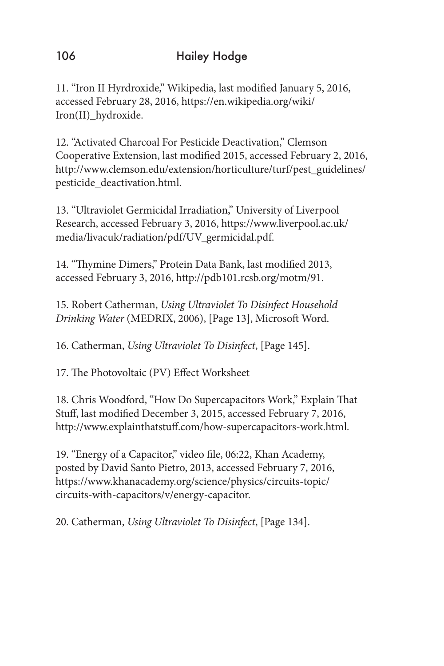11. "Iron II Hyrdroxide," Wikipedia, last modified January 5, 2016, accessed February 28, 2016, https://en.wikipedia.org/wiki/ Iron(II)\_hydroxide.

12. "Activated Charcoal For Pesticide Deactivation," Clemson Cooperative Extension, last modified 2015, accessed February 2, 2016, http://www.clemson.edu/extension/horticulture/turf/pest\_guidelines/ pesticide\_deactivation.html.

13. "Ultraviolet Germicidal Irradiation," University of Liverpool Research, accessed February 3, 2016, https://www.liverpool.ac.uk/ media/livacuk/radiation/pdf/UV\_germicidal.pdf.

14. "Thymine Dimers," Protein Data Bank, last modified 2013, accessed February 3, 2016, http://pdb101.rcsb.org/motm/91.

15. Robert Catherman, *Using Ultraviolet To Disinfect Household Drinking Water* (MEDRIX, 2006), [Page 13], Microsoft Word.

16. Catherman, *Using Ultraviolet To Disinfect*, [Page 145].

17. The Photovoltaic (PV) Effect Worksheet

18. Chris Woodford, "How Do Supercapacitors Work," Explain That Stuff, last modified December 3, 2015, accessed February 7, 2016, http://www.explainthatstuff.com/how-supercapacitors-work.html.

19. "Energy of a Capacitor," video file, 06:22, Khan Academy, posted by David Santo Pietro, 2013, accessed February 7, 2016, https://www.khanacademy.org/science/physics/circuits-topic/ circuits-with-capacitors/v/energy-capacitor.

20. Catherman, *Using Ultraviolet To Disinfect*, [Page 134].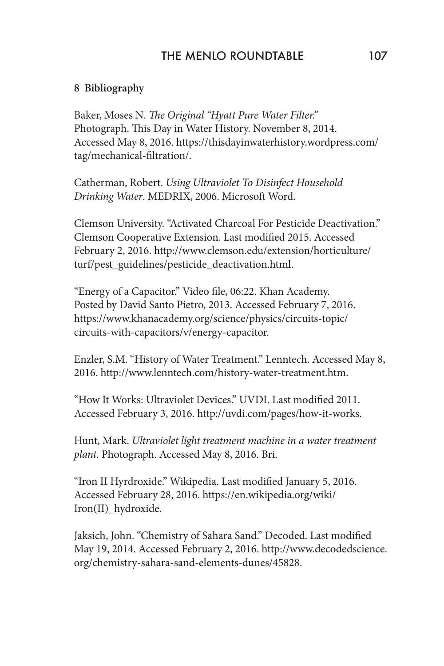### THE MENLO ROUNDTABLE 107

### **8 Bibliography**

Baker, Moses N. *The Original "Hyatt Pure Water Filter."* Photograph. This Day in Water History. November 8, 2014. Accessed May 8, 2016. https://thisdayinwaterhistory.wordpress.com/ tag/mechanical-filtration/.

Catherman, Robert. *Using Ultraviolet To Disinfect Household Drinking Water*. MEDRIX, 2006. Microsoft Word.

Clemson University. "Activated Charcoal For Pesticide Deactivation." Clemson Cooperative Extension. Last modified 2015. Accessed February 2, 2016. http://www.clemson.edu/extension/horticulture/ turf/pest\_guidelines/pesticide\_deactivation.html.

"Energy of a Capacitor." Video file, 06:22. Khan Academy. Posted by David Santo Pietro, 2013. Accessed February 7, 2016. https://www.khanacademy.org/science/physics/circuits-topic/ circuits-with-capacitors/v/energy-capacitor.

Enzler, S.M. "History of Water Treatment." Lenntech. Accessed May 8, 2016. http://www.lenntech.com/history-water-treatment.htm.

"How It Works: Ultraviolet Devices." UVDI. Last modified 2011. Accessed February 3, 2016. http://uvdi.com/pages/how-it-works.

Hunt, Mark. *Ultraviolet light treatment machine in a water treatment plant*. Photograph. Accessed May 8, 2016. Bri.

"Iron II Hyrdroxide." Wikipedia. Last modified January 5, 2016. Accessed February 28, 2016. https://en.wikipedia.org/wiki/ Iron(II)\_hydroxide.

Jaksich, John. "Chemistry of Sahara Sand." Decoded. Last modified May 19, 2014. Accessed February 2, 2016. http://www.decodedscience. org/chemistry-sahara-sand-elements-dunes/45828.